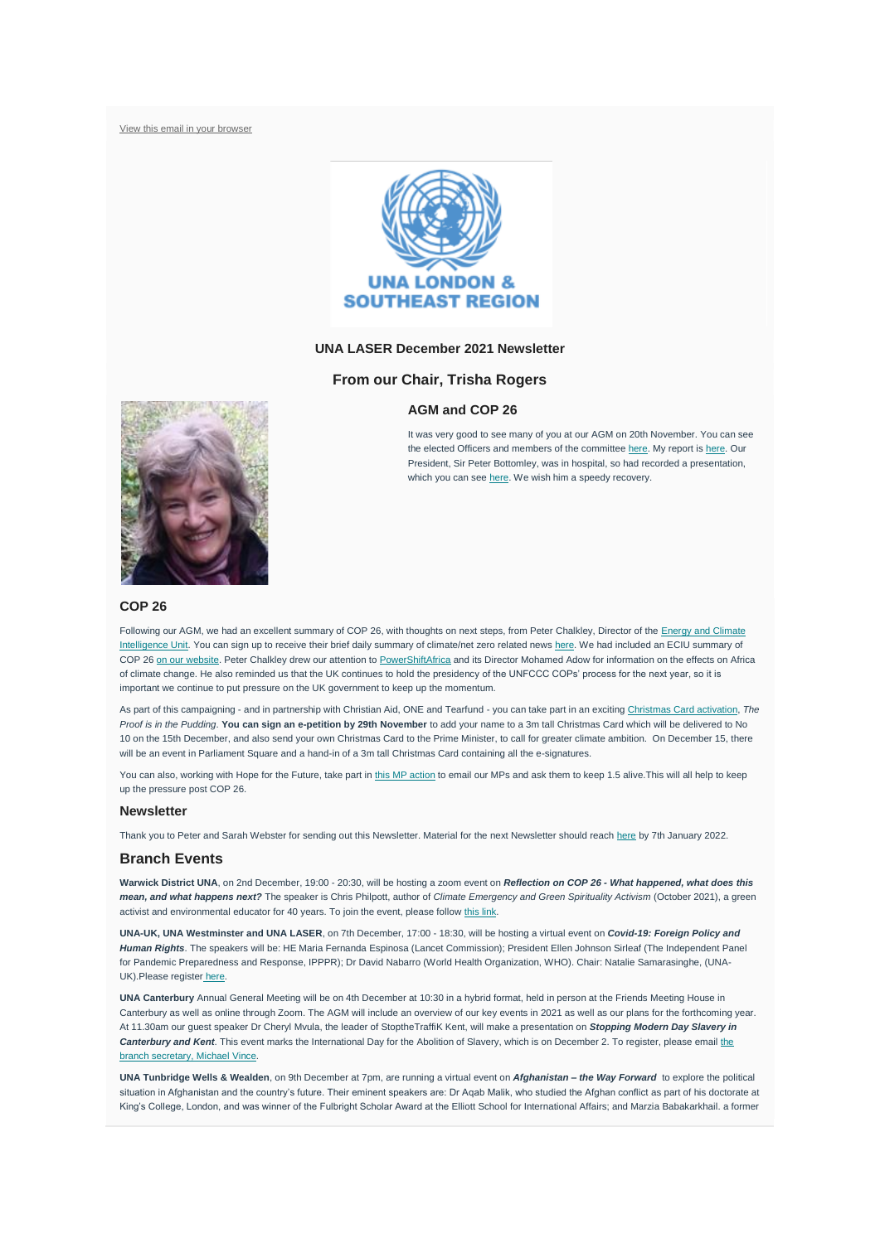[View this email in your browser](https://mailchi.mp/a4768b08401c/laser-newsletter-november-19246209?e=7b19b52a1f)



# **UNA LASER December 2021 Newsletter**

### **From our Chair, Trisha Rogers**

#### **AGM and COP 26**



It was very good to see many of you at our AGM on 20th November. You can see the elected Officers and members of the committee [here.](https://unalaser.org/people) My report is [here.](https://unalaser.org/wp-content/uploads/2021/11/211120-AGM-Chairs-Report-for-website.pdf) Our President, Sir Peter Bottomley, was in hospital, so had recorded a presentation, which you can see [here.](https://us02web.zoom.us/rec/play/iu4uA1U229h21AEmnd02jric19iPPW65MyqZubIJzKyUg_sO1JHwQjxDAxasvuRBwPO1XUPKILyisMcU.wj4puYB4m6bV3n6C?startTime=1637228429000) We wish him a speedy recovery.

# **COP 26**

Following our AGM, we had an excellent summary of COP 26, with thoughts on next steps, from Peter Chalkley, Director of the Energy and Climate [Intelligence Unit.](https://eciu.net/) You can sign up to receive their brief daily summary of climate/net zero related news [here.](https://eciu.us8.list-manage.com/subscribe?u=8ed7ad7972fae058e8f4fb7e8&id=a1b7ff7dda) We had included an ECIU summary of COP 26 [on our website.](https://unalaser.org/cop-26-final-update-and-action) Peter Chalkley drew our attention to [PowerShiftAfrica](https://powershiftafrica.org/) and its Director Mohamed Adow for information on the effects on Africa of climate change. He also reminded us that the UK continues to hold the presidency of the UNFCCC COPs' process for the next year, so it is important we continue to put pressure on the UK government to keep up the momentum.

As part of this campaigning - and in partnership with Christian Aid, ONE and Tearfund - you can take part in an exciting [Christmas Card activation,](https://www.theclimatecoalition.org/christmascard) *The Proof is in the Pudding*. **You can sign an e-petition by 29th November** to add your name to a 3m tall Christmas Card which will be delivered to No 10 on the 15th December, and also send your own Christmas Card to the Prime Minister, to call for greater climate ambition. On December 15, there will be an event in Parliament Square and a hand-in of a 3m tall Christmas Card containing all the e-signatures

You can also, working with Hope for the Future, take part in [this MP action](https://www.theclimatecoalition.org/take-action#emailmp) to email our MPs and ask them to keep 1.5 alive. This will all help to keep up the pressure post COP 26.

#### **Newsletter**

Thank you to Peter and Sarah Webster for sending out this Newsletter. Material for the next Newsletter should reach [here](mailto:contact@unalaser.org) by 7th January 2022.

#### **Branch Events**

**Warwick District UNA**, on 2nd December, 19:00 - 20:30, will be hosting a zoom event on *Reflection on COP 26 - What happened, what does this mean, and what happens next?* The speaker is Chris Philpott, author of *Climate Emergency and Green Spirituality Activism* (October 2021), a green activist and environmental educator for 40 years. To join the event, please follow [this link.](https://us02web.zoom.us/j/82067191349?pwd=S1gyejlmd3FzZGRIYzdUWlVreFlZdz09)

**UNA-UK, UNA Westminster and UNA LASER**, on 7th December, 17:00 - 18:30, will be hosting a virtual event on *Covid-19: Foreign Policy and Human Rights*. The speakers will be: HE Maria Fernanda Espinosa (Lancet Commission); President Ellen Johnson Sirleaf (The Independent Panel for Pandemic Preparedness and Response, IPPPR); Dr David Nabarro (World Health Organization, WHO). Chair: Natalie Samarasinghe, (UNA-UK).Please register [here.](https://www.eventbrite.co.uk/e/covid-19-foreign-policy-and-human-rights-tickets-217444150307)

**UNA Canterbury** Annual General Meeting will be on 4th December at 10:30 in a hybrid format, held in person at the Friends Meeting House in Canterbury as well as online through Zoom. The AGM will include an overview of our key events in 2021 as well as our plans for the forthcoming year. At 11.30am our guest speaker Dr Cheryl Mvula, the leader of StoptheTraffiK Kent, will make a presentation on *Stopping Modern Day Slavery in Canterbury and Kent*. This event marks the International Day for the Abolition of Slavery, which is on December 2. To register, please email [the](mailto:una-cb@myphone.coop)  [branch secretary, Michael Vince.](mailto:una-cb@myphone.coop)

**UNA Tunbridge Wells & Wealden**, on 9th December at 7pm, are running a virtual event on *Afghanistan – the Way Forward* to explore the political situation in Afghanistan and the country's future. Their eminent speakers are: Dr Aqab Malik, who studied the Afghan conflict as part of his doctorate at King's College, London, and was winner of the Fulbright Scholar Award at the Elliott School for International Affairs; and Marzia Babakarkhail. a former